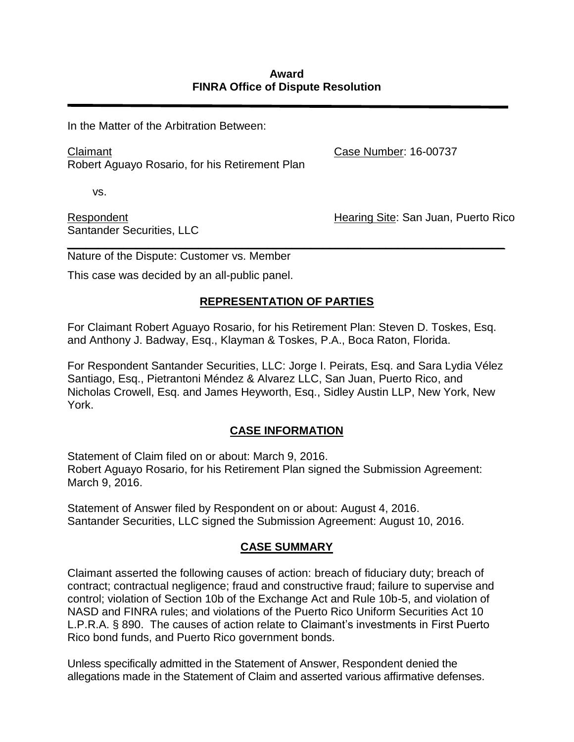In the Matter of the Arbitration Between:

Claimant Robert Aguayo Rosario, for his Retirement Plan Case Number: 16-00737

vs.

Respondent Santander Securities, LLC Hearing Site: San Juan, Puerto Rico

*\_\_\_\_\_\_\_\_\_\_\_\_\_\_\_\_\_\_\_\_\_\_\_\_\_\_\_\_\_\_\_\_\_\_\_\_\_\_\_\_\_\_\_\_\_\_\_\_\_\_\_\_\_\_\_\_\_\_\_\_\_\_\_\_\_\_\_\_\_\_* Nature of the Dispute: Customer vs. Member

This case was decided by an all-public panel.

## **REPRESENTATION OF PARTIES**

For Claimant Robert Aguayo Rosario, for his Retirement Plan: Steven D. Toskes, Esq. and Anthony J. Badway, Esq., Klayman & Toskes, P.A., Boca Raton, Florida.

For Respondent Santander Securities, LLC: Jorge I. Peirats, Esq. and Sara Lydia Vélez Santiago, Esq., Pietrantoni Méndez & Alvarez LLC, San Juan, Puerto Rico, and Nicholas Crowell, Esq. and James Heyworth, Esq., Sidley Austin LLP, New York, New York.

## **CASE INFORMATION**

Statement of Claim filed on or about: March 9, 2016. Robert Aguayo Rosario, for his Retirement Plan signed the Submission Agreement: March 9, 2016.

Statement of Answer filed by Respondent on or about: August 4, 2016. Santander Securities, LLC signed the Submission Agreement: August 10, 2016.

## **CASE SUMMARY**

Claimant asserted the following causes of action: breach of fiduciary duty; breach of contract; contractual negligence; fraud and constructive fraud; failure to supervise and control; violation of Section 10b of the Exchange Act and Rule 10b-5, and violation of NASD and FINRA rules; and violations of the Puerto Rico Uniform Securities Act 10 L.P.R.A. § 890. The causes of action relate to Claimant's investments in First Puerto Rico bond funds, and Puerto Rico government bonds.

Unless specifically admitted in the Statement of Answer, Respondent denied the allegations made in the Statement of Claim and asserted various affirmative defenses.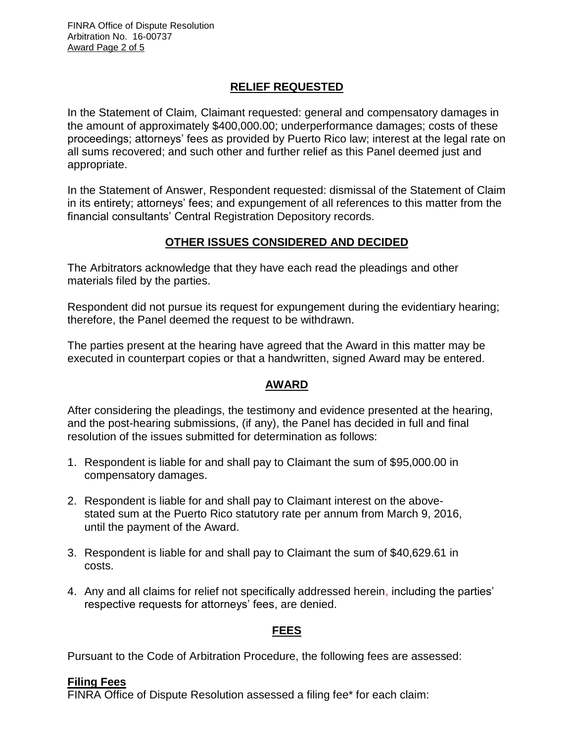## **RELIEF REQUESTED**

In the Statement of Claim*,* Claimant requested: general and compensatory damages in the amount of approximately \$400,000.00; underperformance damages; costs of these proceedings; attorneys' fees as provided by Puerto Rico law; interest at the legal rate on all sums recovered; and such other and further relief as this Panel deemed just and appropriate.

In the Statement of Answer, Respondent requested: dismissal of the Statement of Claim in its entirety; attorneys' fees; and expungement of all references to this matter from the financial consultants' Central Registration Depository records.

## **OTHER ISSUES CONSIDERED AND DECIDED**

The Arbitrators acknowledge that they have each read the pleadings and other materials filed by the parties.

Respondent did not pursue its request for expungement during the evidentiary hearing; therefore, the Panel deemed the request to be withdrawn.

The parties present at the hearing have agreed that the Award in this matter may be executed in counterpart copies or that a handwritten, signed Award may be entered.

## **AWARD**

After considering the pleadings, the testimony and evidence presented at the hearing, and the post-hearing submissions, (if any), the Panel has decided in full and final resolution of the issues submitted for determination as follows:

- 1. Respondent is liable for and shall pay to Claimant the sum of \$95,000.00 in compensatory damages.
- 2. Respondent is liable for and shall pay to Claimant interest on the abovestated sum at the Puerto Rico statutory rate per annum from March 9, 2016, until the payment of the Award.
- 3. Respondent is liable for and shall pay to Claimant the sum of \$40,629.61 in costs.
- 4. Any and all claims for relief not specifically addressed herein, including the parties' respective requests for attorneys' fees, are denied.

## **FEES**

Pursuant to the Code of Arbitration Procedure, the following fees are assessed:

## **Filing Fees**

FINRA Office of Dispute Resolution assessed a filing fee\* for each claim: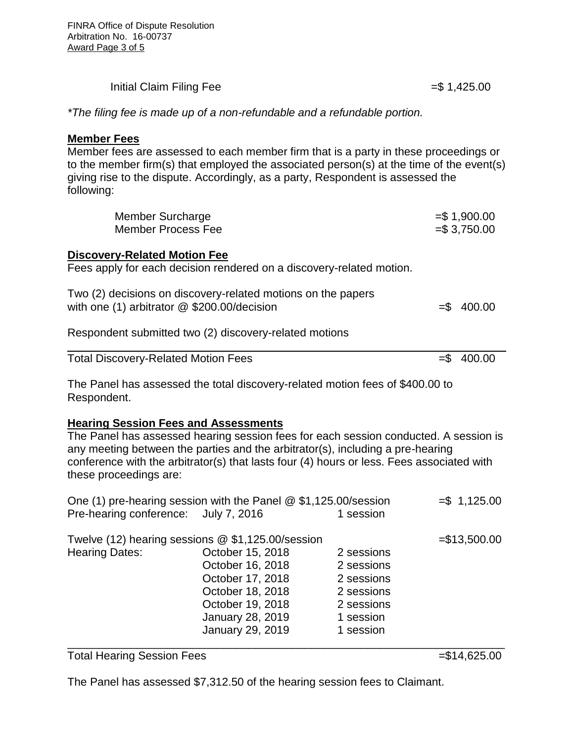| Initial Claim Filing Fee | $= $1,425.00$ |
|--------------------------|---------------|
|                          |               |

*\*The filing fee is made up of a non-refundable and a refundable portion.* 

#### **Member Fees**

Member fees are assessed to each member firm that is a party in these proceedings or to the member firm(s) that employed the associated person(s) at the time of the event(s) giving rise to the dispute. Accordingly, as a party, Respondent is assessed the following:

| <b>Member Surcharge</b><br><b>Member Process Fee</b>                                                                                                                                                                                                                                                               |  | $= $1,900.00$<br>$= $3,750.00$ |  |
|--------------------------------------------------------------------------------------------------------------------------------------------------------------------------------------------------------------------------------------------------------------------------------------------------------------------|--|--------------------------------|--|
| <b>Discovery-Related Motion Fee</b><br>Fees apply for each decision rendered on a discovery-related motion.                                                                                                                                                                                                        |  |                                |  |
| Two (2) decisions on discovery-related motions on the papers<br>with one $(1)$ arbitrator $@$ \$200.00/decision                                                                                                                                                                                                    |  | $= $ 400.00$                   |  |
| Respondent submitted two (2) discovery-related motions                                                                                                                                                                                                                                                             |  |                                |  |
| <b>Total Discovery-Related Motion Fees</b>                                                                                                                                                                                                                                                                         |  | $= $ 400.00$                   |  |
| The Panel has assessed the total discovery-related motion fees of \$400.00 to<br>Respondent.                                                                                                                                                                                                                       |  |                                |  |
| <b>Hearing Session Fees and Assessments</b><br>The Panel has assessed hearing session fees for each session conducted. A session is<br>any meeting between the parties and the arbitrator(s), including a pre-hearing<br>conference with the arbitrator(s) that lasts four (4) hours or less. Fees associated with |  |                                |  |

these proceedings are:

| One (1) pre-hearing session with the Panel @ \$1,125.00/session |                  |            | $= $ 1,125.00$ |
|-----------------------------------------------------------------|------------------|------------|----------------|
| Pre-hearing conference: July 7, 2016                            |                  | 1 session  |                |
| Twelve (12) hearing sessions @ \$1,125.00/session               |                  |            | $= $13,500.00$ |
| <b>Hearing Dates:</b>                                           | October 15, 2018 | 2 sessions |                |
|                                                                 | October 16, 2018 | 2 sessions |                |
|                                                                 | October 17, 2018 | 2 sessions |                |
|                                                                 | October 18, 2018 | 2 sessions |                |
|                                                                 | October 19, 2018 | 2 sessions |                |
|                                                                 | January 28, 2019 | 1 session  |                |
|                                                                 | January 29, 2019 | 1 session  |                |
|                                                                 |                  |            |                |

Total Hearing Session Fees =  $\frac{1}{2}$  =\$14,625.00

The Panel has assessed \$7,312.50 of the hearing session fees to Claimant.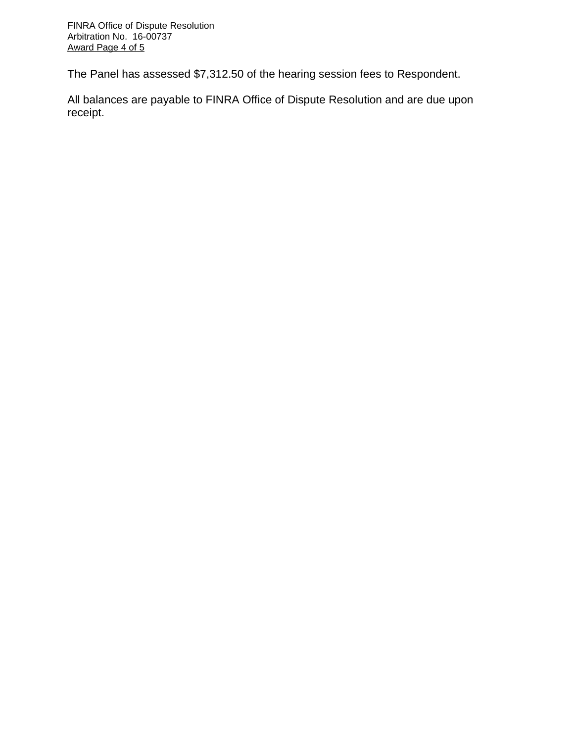The Panel has assessed \$7,312.50 of the hearing session fees to Respondent.

All balances are payable to FINRA Office of Dispute Resolution and are due upon receipt.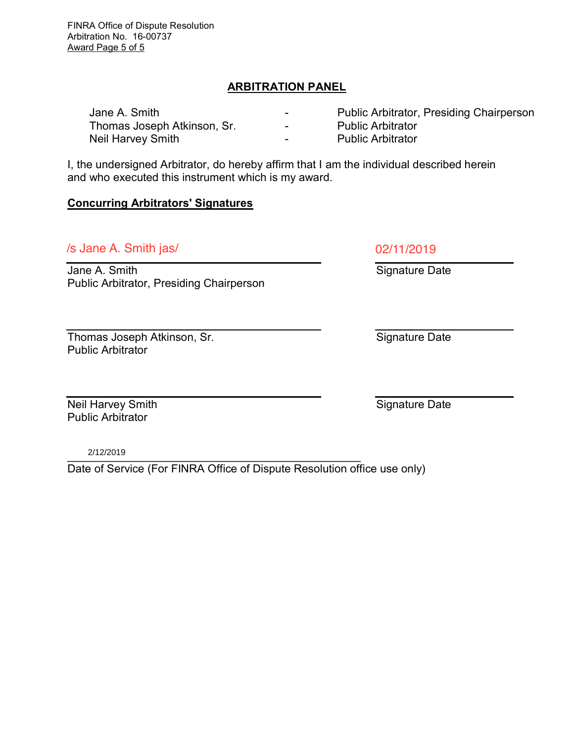FINRA Office of Dispute Resolution Arbitration No. 16-00737 Award Page 5 of 5

## ARBITRATION PANEL

| Jane A. Smith               | -                        | <b>Public Arbitrator, Presiding Chairperson</b> |
|-----------------------------|--------------------------|-------------------------------------------------|
| Thomas Joseph Atkinson, Sr. | $\overline{\phantom{0}}$ | <b>Public Arbitrator</b>                        |
| Neil Harvey Smith           | -                        | <b>Public Arbitrator</b>                        |

I, the undersigned Arbitrator, do hereby affirm that I am the individual described herein and who executed this instrument which is my award.

#### Concurring Arbitrators' Signatures

# $\sqrt{s}$  Jane A. Smith jas/

Jane A. Smith Public Arbitrator, Presiding Chairperson

Thomas Joseph Atkinson, Sr. Public Arbitrator

Neil Harvey Smith Public Arbitrator

\_\_\_\_\_\_\_\_\_\_\_\_\_\_\_\_\_\_\_\_\_\_\_\_\_\_\_\_\_\_\_\_\_\_\_\_\_\_\_\_\_\_\_\_\_\_\_ 2/12/2019

Date of Service (For FINRA Office of Dispute Resolution office use only)

Signature Date

Signature Date

Signature Date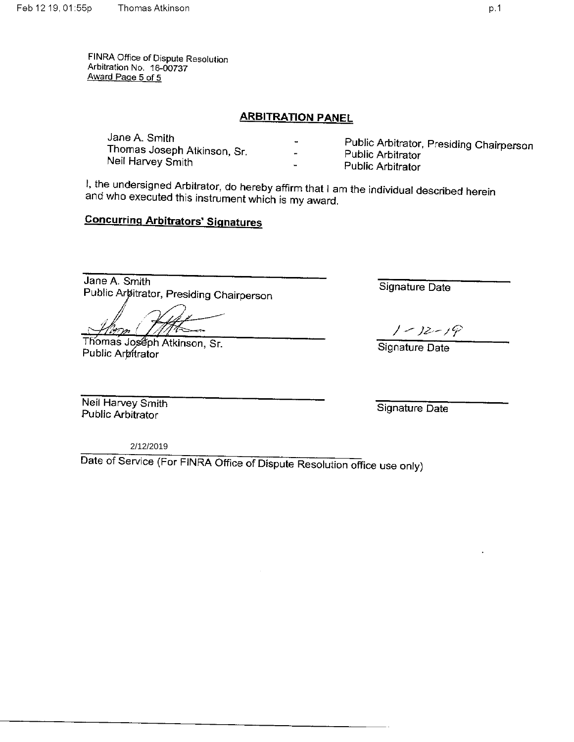FINRA Office of Dispute Resolution Arbitration No. 16-00737 Award Page 5 of 5

#### **ARBITRATION PANEL**

| Jane A. Smith<br>Thomas Joseph Atkinson, Sr.<br>Neil Harvey Smith | -<br>$\blacksquare$      | Public Arbitrator, Presiding Chairperson<br><b>Public Arbitrator</b> |
|-------------------------------------------------------------------|--------------------------|----------------------------------------------------------------------|
|                                                                   | $\overline{\phantom{0}}$ | <b>Public Arbitrator</b>                                             |

I, the undersigned Arbitrator, do hereby affirm that I am the individual described herein and who executed this instrument which is my award.

## **Concurring Arbitrators' Signatures**

Jane A. Smith Public Artitrator, Presiding Chairperson

Thomas Joseph Atkinson, Sr. Public Arbitrator

Signature Date

 $1 - 12 - 19$ 

Signature Date

Neil Harvey Smith Public Arbitrator

Signature Date

2/12/2019

Date of Service (For FINRA Office of Dispute Resolution office use only)